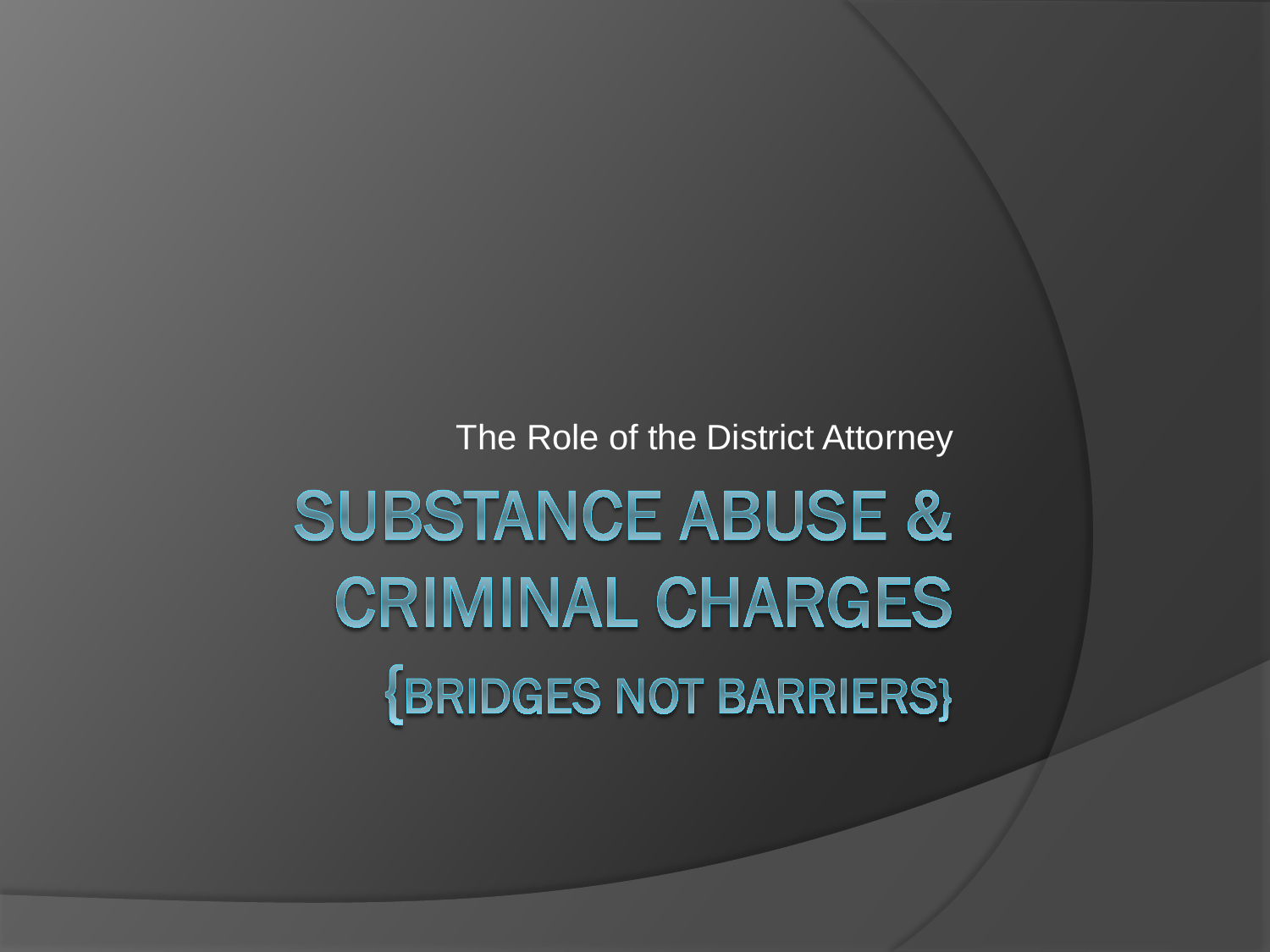The Role of the District Attorney

**SUBSTANCE ABUSE & CRIMINAL CHARGES {BRIDGES NOT BARRIERS}**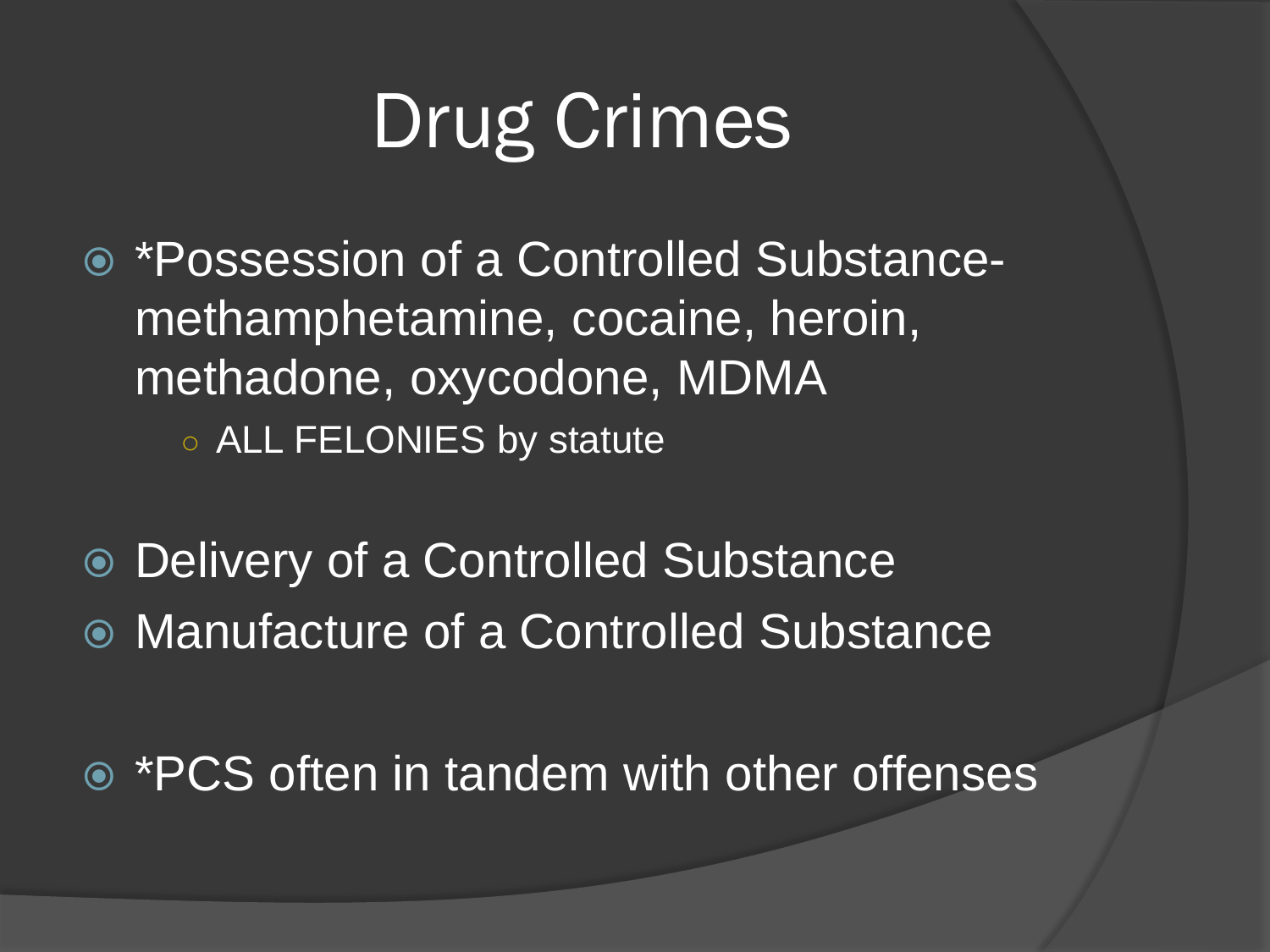# Drug Crimes

- \*Possession of a Controlled Substancemethamphetamine, cocaine, heroin, methadone, oxycodone, MDMA ○ ALL FELONIES by statute
- Delivery of a Controlled Substance
- Manufacture of a Controlled Substance
- \*PCS often in tandem with other offenses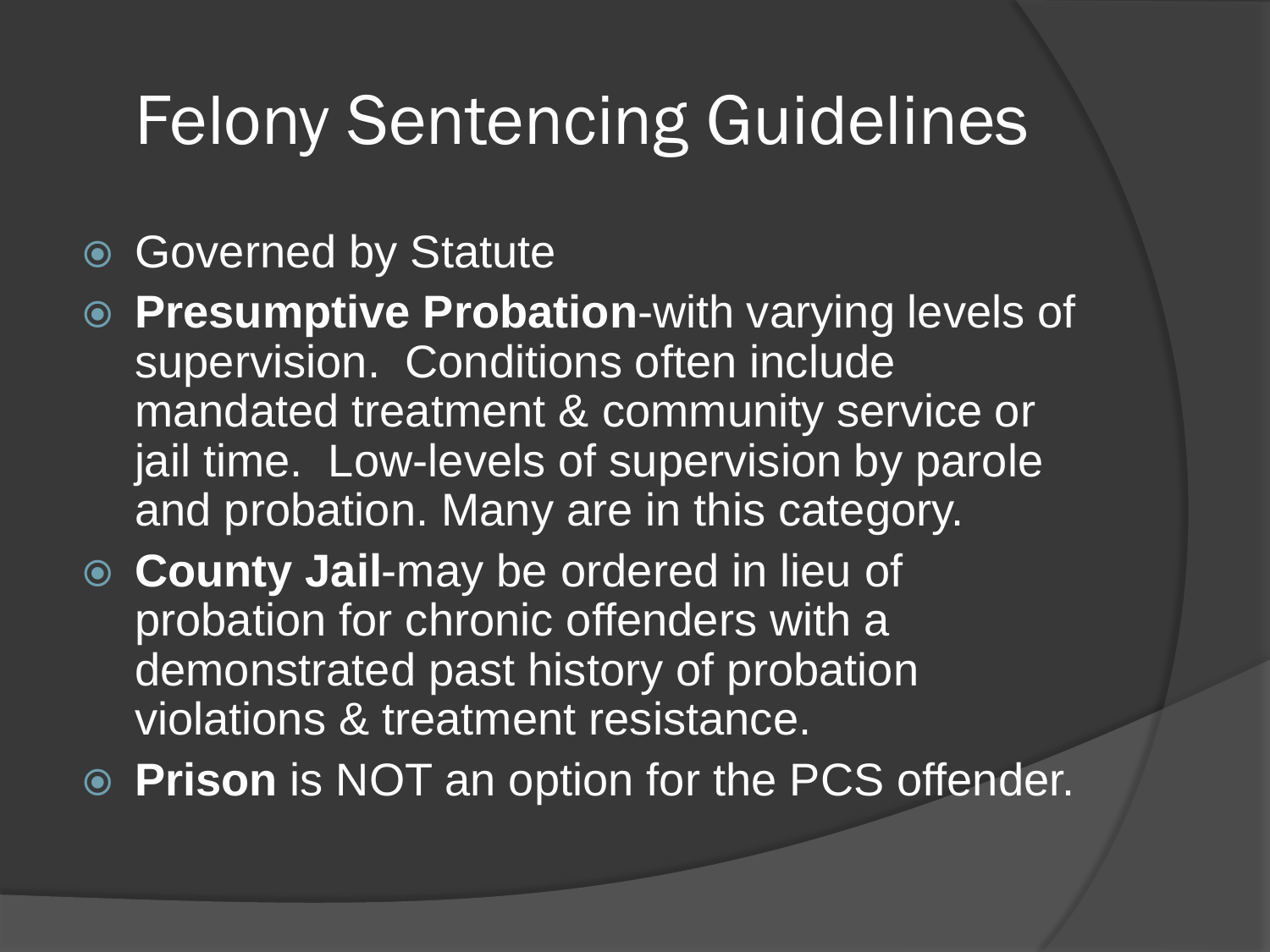### Felony Sentencing Guidelines

- Governed by Statute
- **Presumptive Probation**-with varying levels of supervision. Conditions often include mandated treatment & community service or jail time. Low-levels of supervision by parole and probation. Many are in this category.
- **County Jail**-may be ordered in lieu of probation for chronic offenders with a demonstrated past history of probation violations & treatment resistance.
- **Prison** is NOT an option for the PCS offender.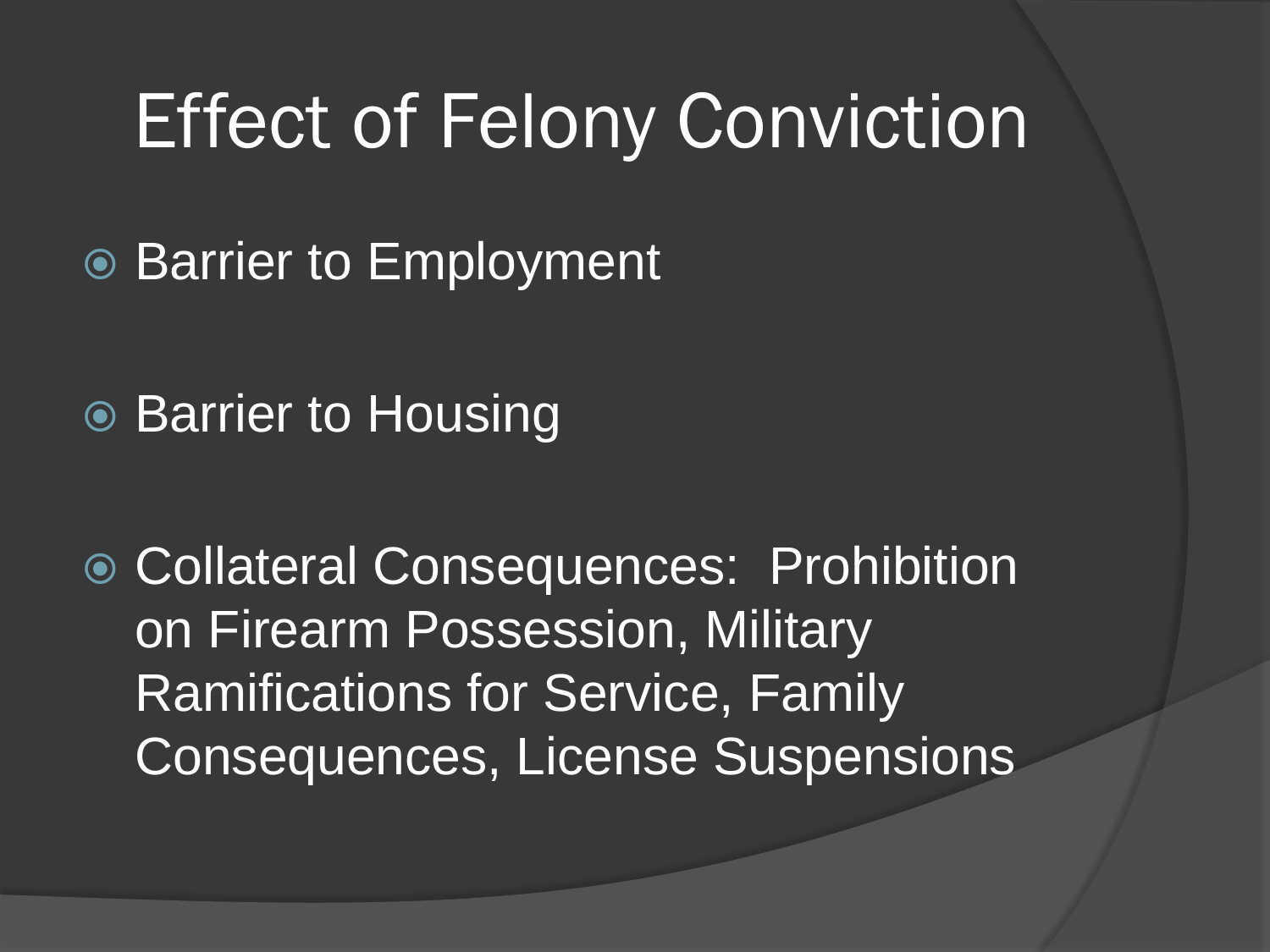## Effect of Felony Conviction

- **Barrier to Employment**
- **Barrier to Housing**

 Collateral Consequences: Prohibition on Firearm Possession, Military Ramifications for Service, Family Consequences, License Suspensions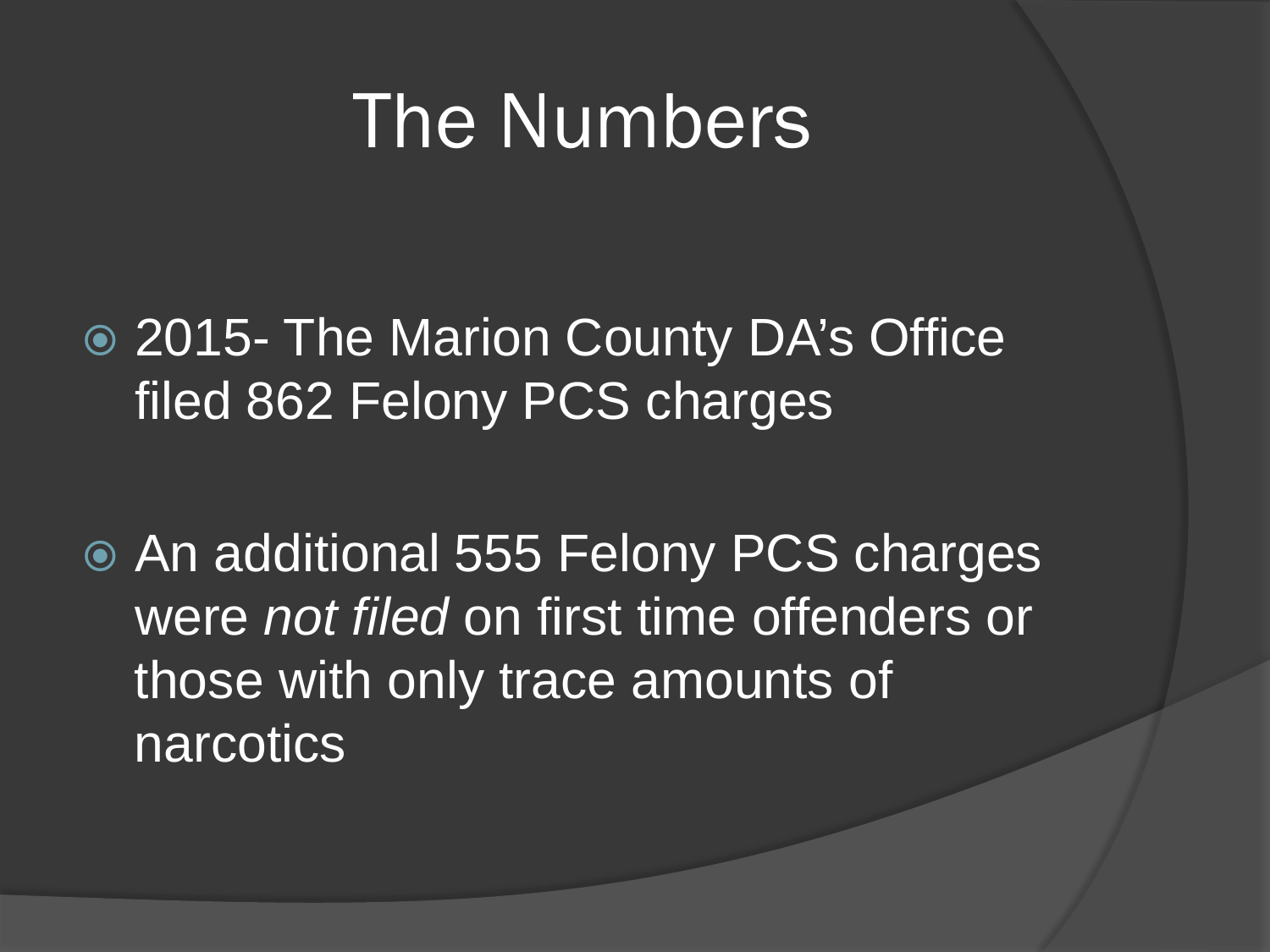### The Numbers

 2015- The Marion County DA's Office filed 862 Felony PCS charges

 An additional 555 Felony PCS charges were *not filed* on first time offenders or those with only trace amounts of narcotics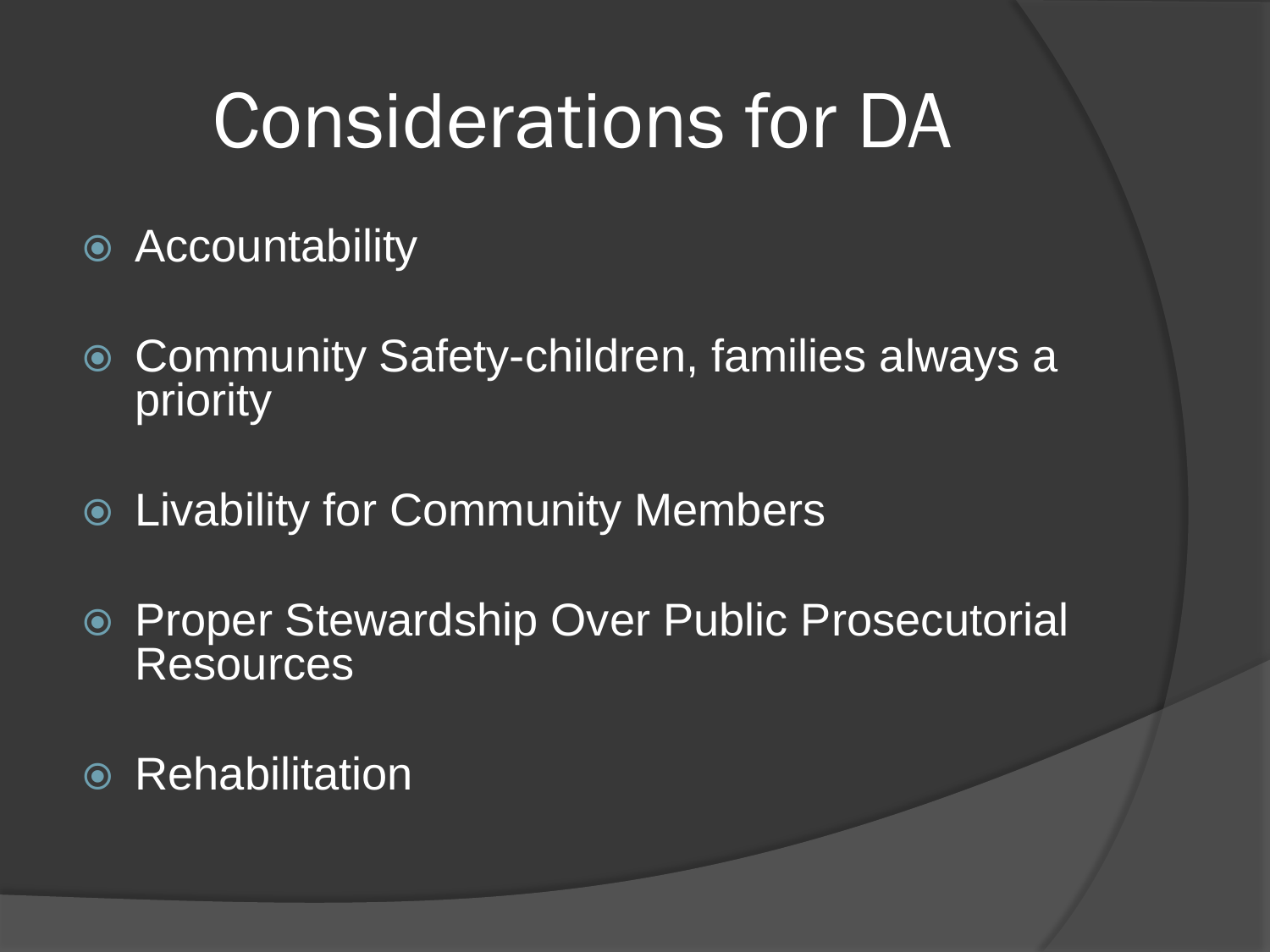## Considerations for DA

- **Accountability**
- Community Safety-children, families always a priority
- Livability for Community Members
- Proper Stewardship Over Public Prosecutorial Resources
- Rehabilitation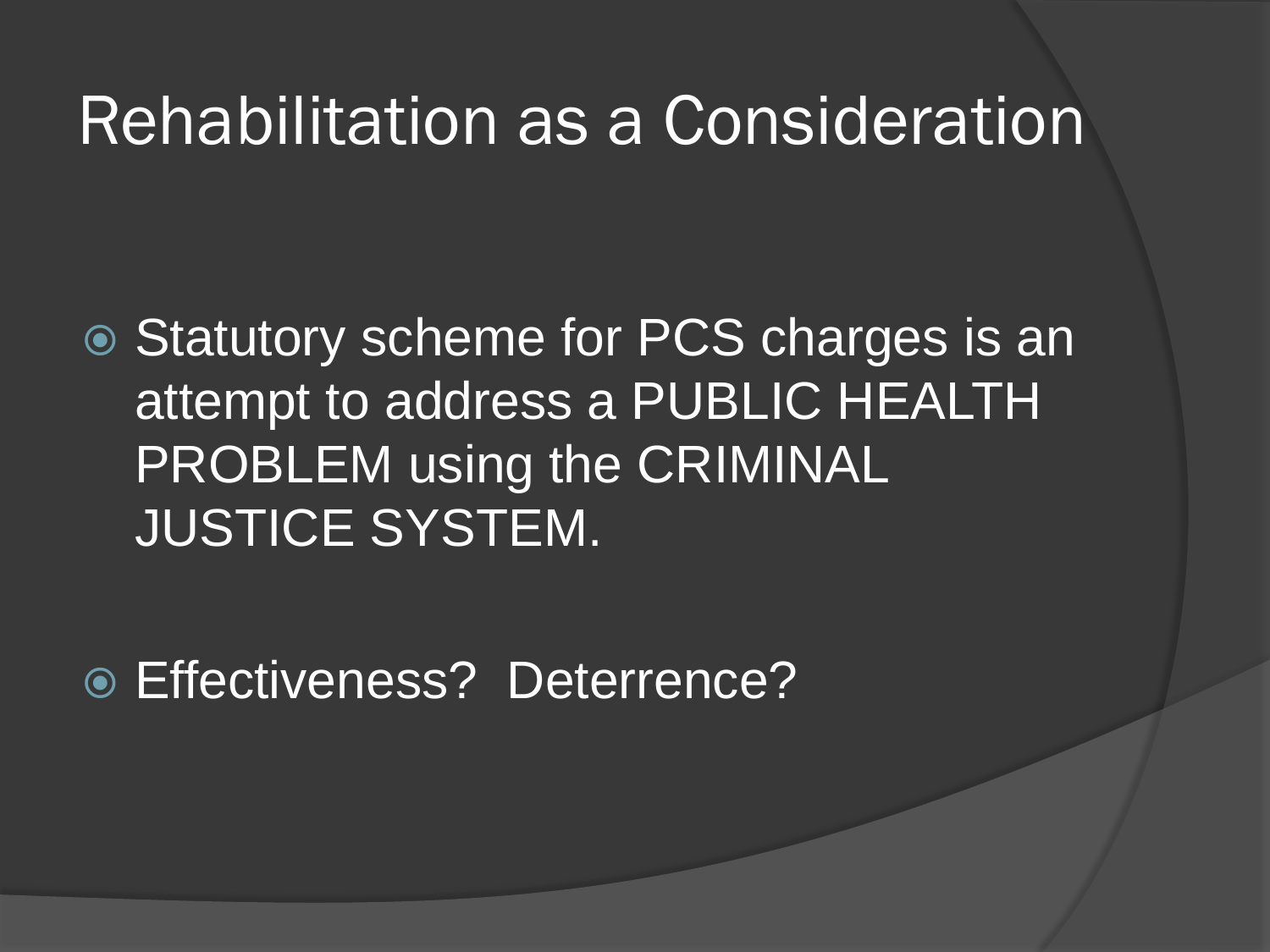#### Rehabilitation as a Consideration

**◎ Statutory scheme for PCS charges is an** attempt to address a PUBLIC HEALTH PROBLEM using the CRIMINAL JUSTICE SYSTEM.

Effectiveness? Deterrence?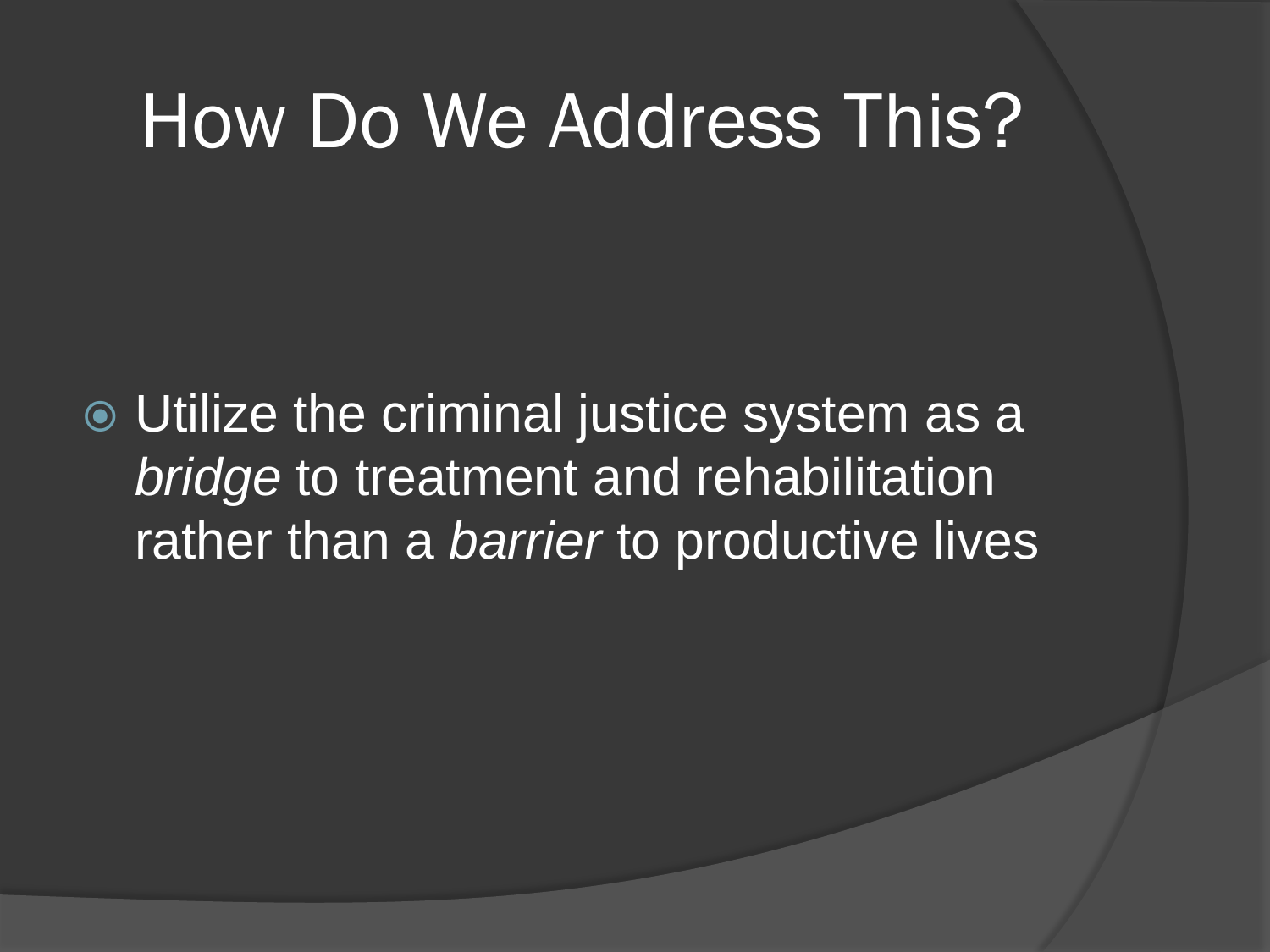### How Do We Address This?

 Utilize the criminal justice system as a *bridge* to treatment and rehabilitation rather than a *barrier* to productive lives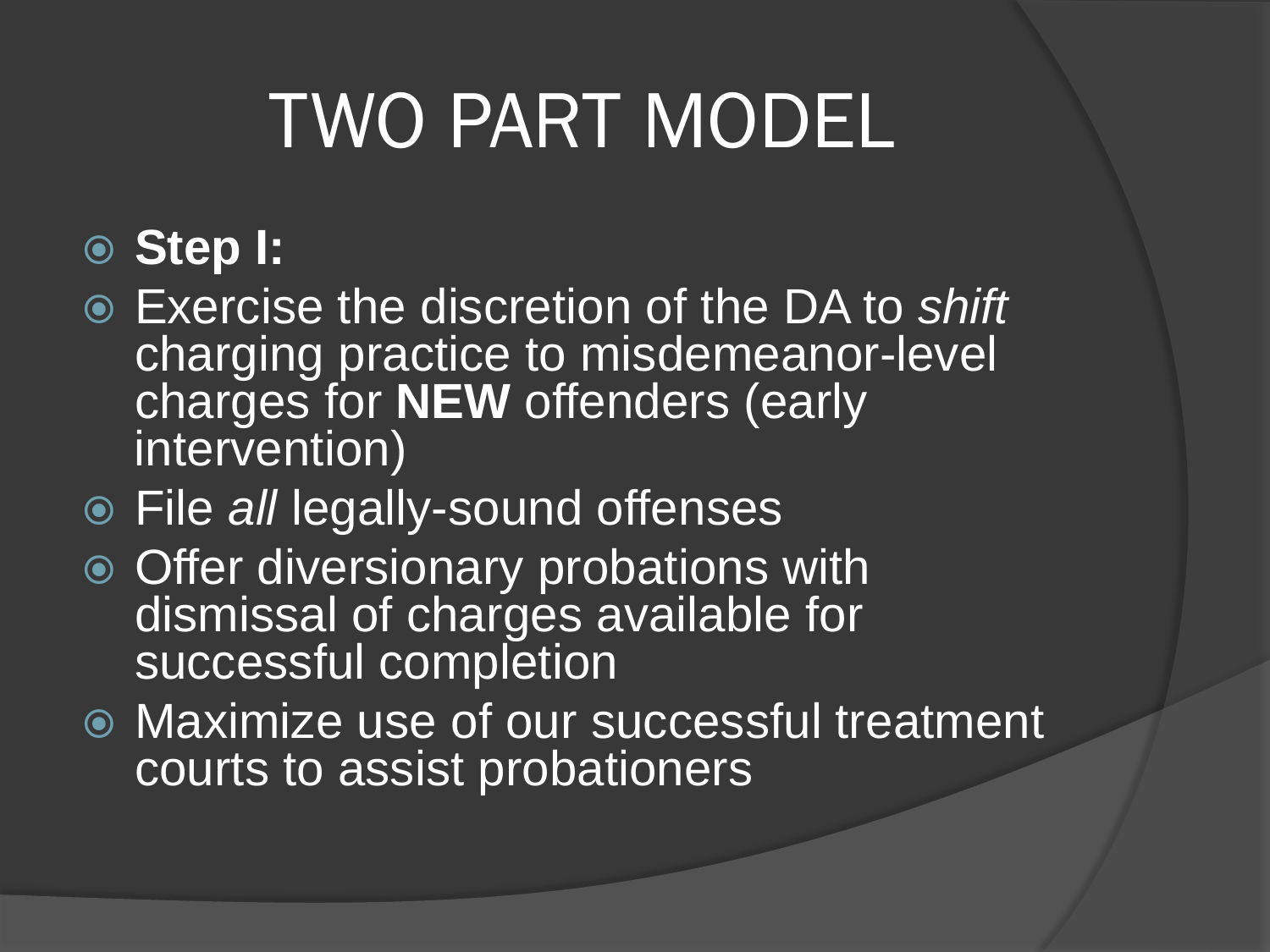# TWO PART MODEL

- **Step I:**
- Exercise the discretion of the DA to *shift*  charging practice to misdemeanor-level charges for **NEW** offenders (early intervention)
- File *all* legally-sound offenses
- **◎ Offer diversionary probations with** dismissal of charges available for successful completion
- Maximize use of our successful treatment courts to assist probationers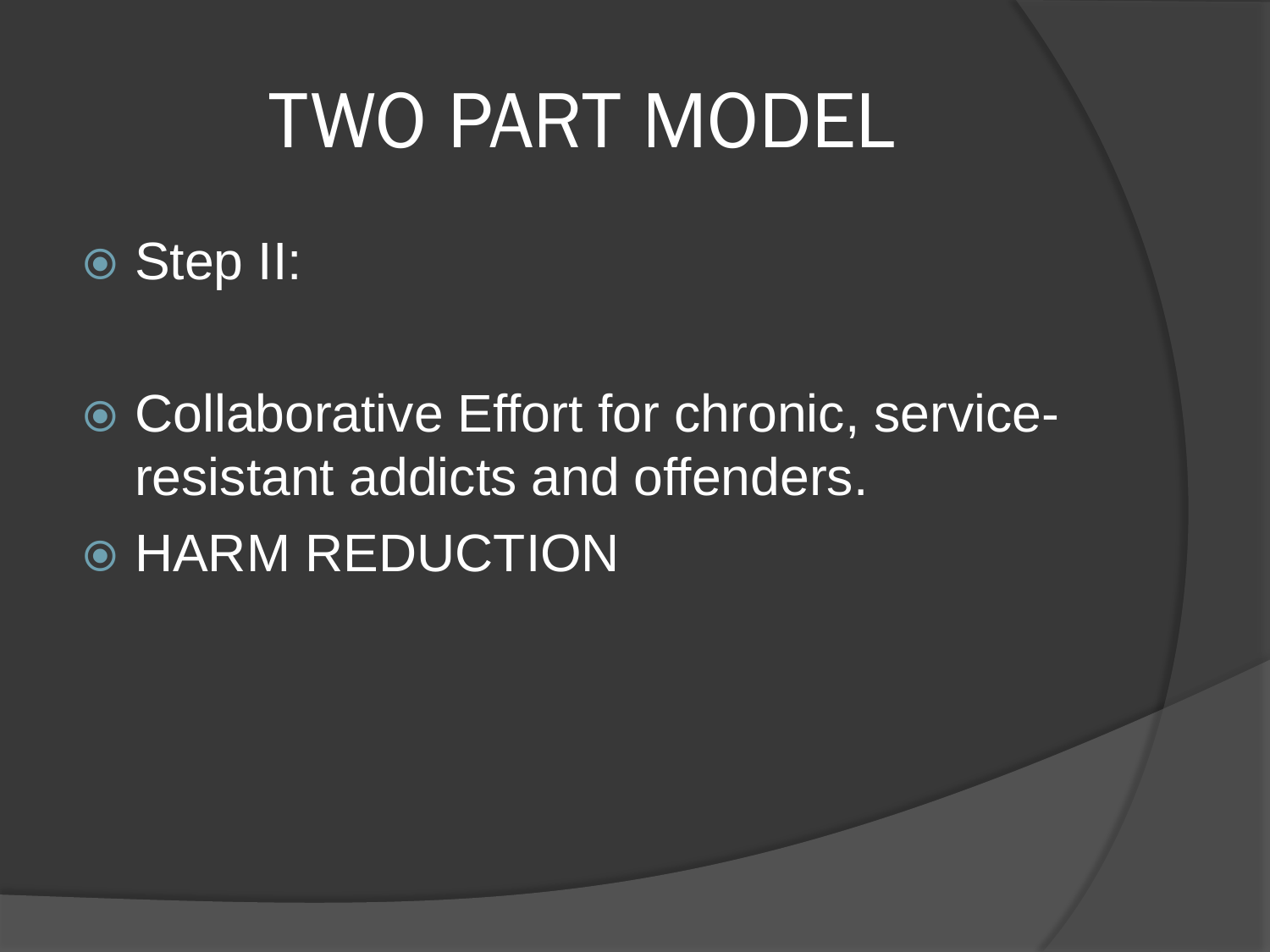# TWO PART MODEL

Step II:

● Collaborative Effort for chronic, serviceresistant addicts and offenders. **◎ HARM REDUCTION**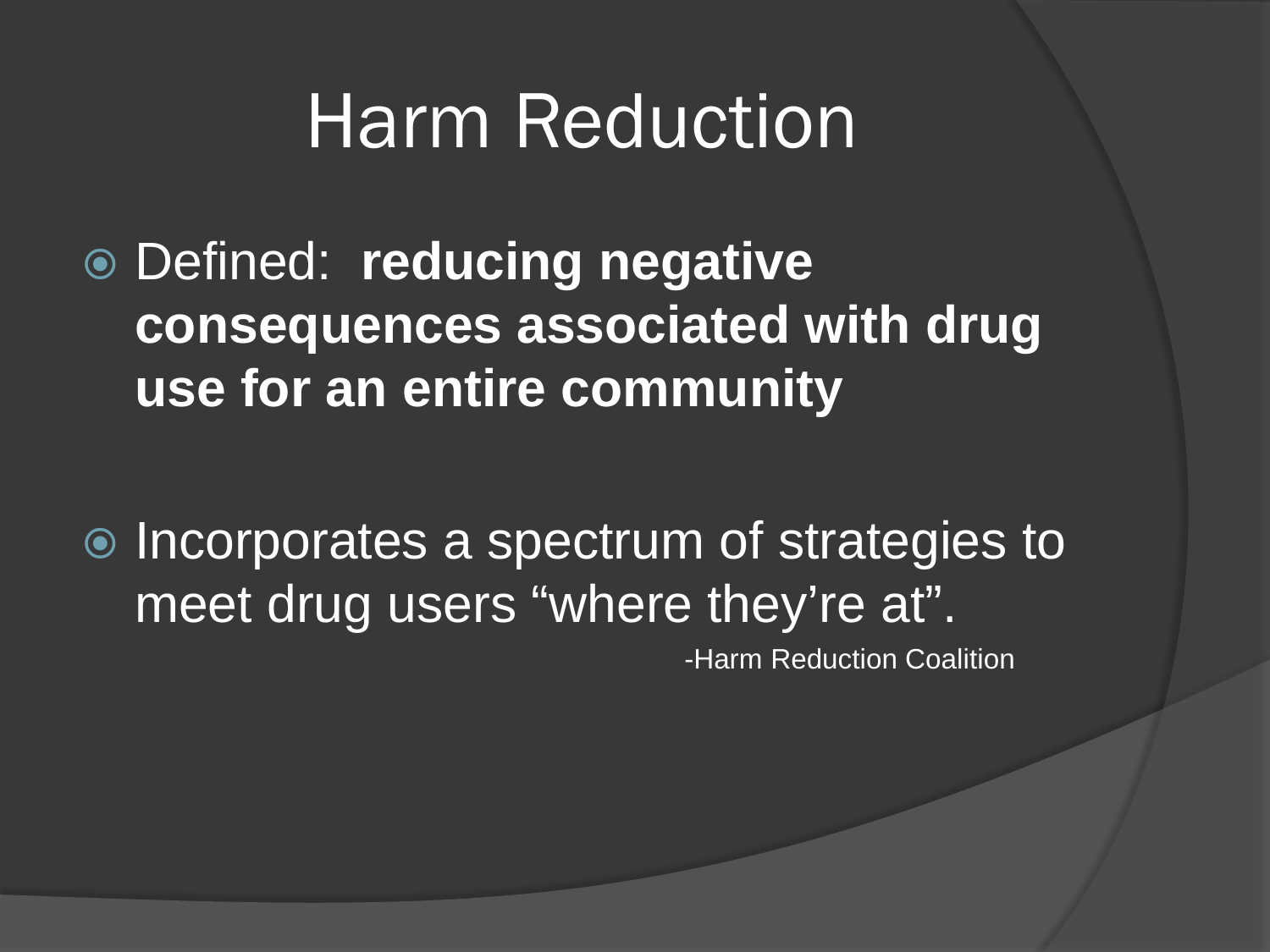## Harm Reduction

- Defined: **reducing negative consequences associated with drug use for an entire community**
- **■** Incorporates a spectrum of strategies to meet drug users "where they're at".<br>Harm Reduction Coalition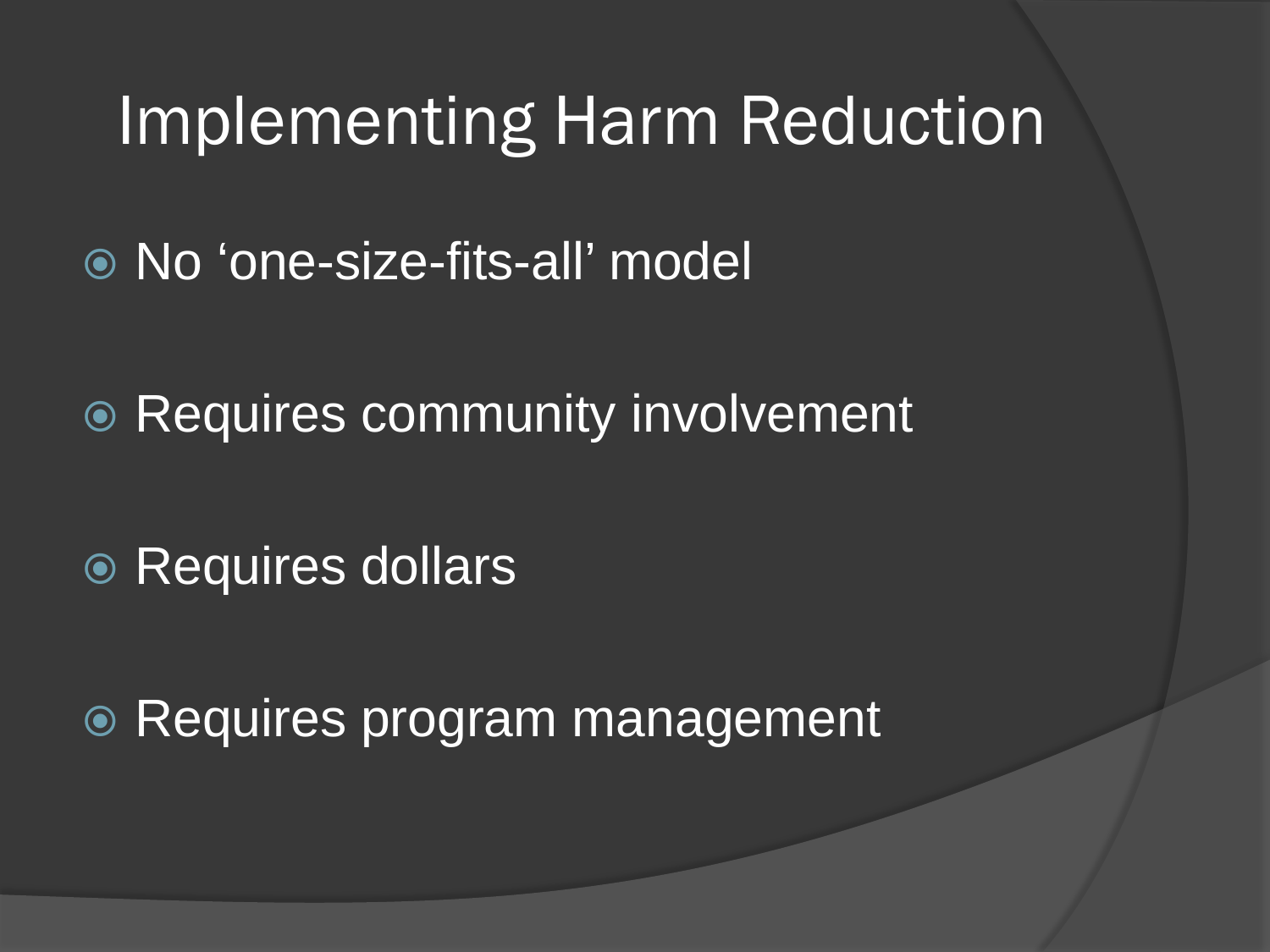#### Implementing Harm Reduction

- No 'one-size-fits-all' model
- **Requires community involvement**
- **◎ Requires dollars**

**■ Requires program management**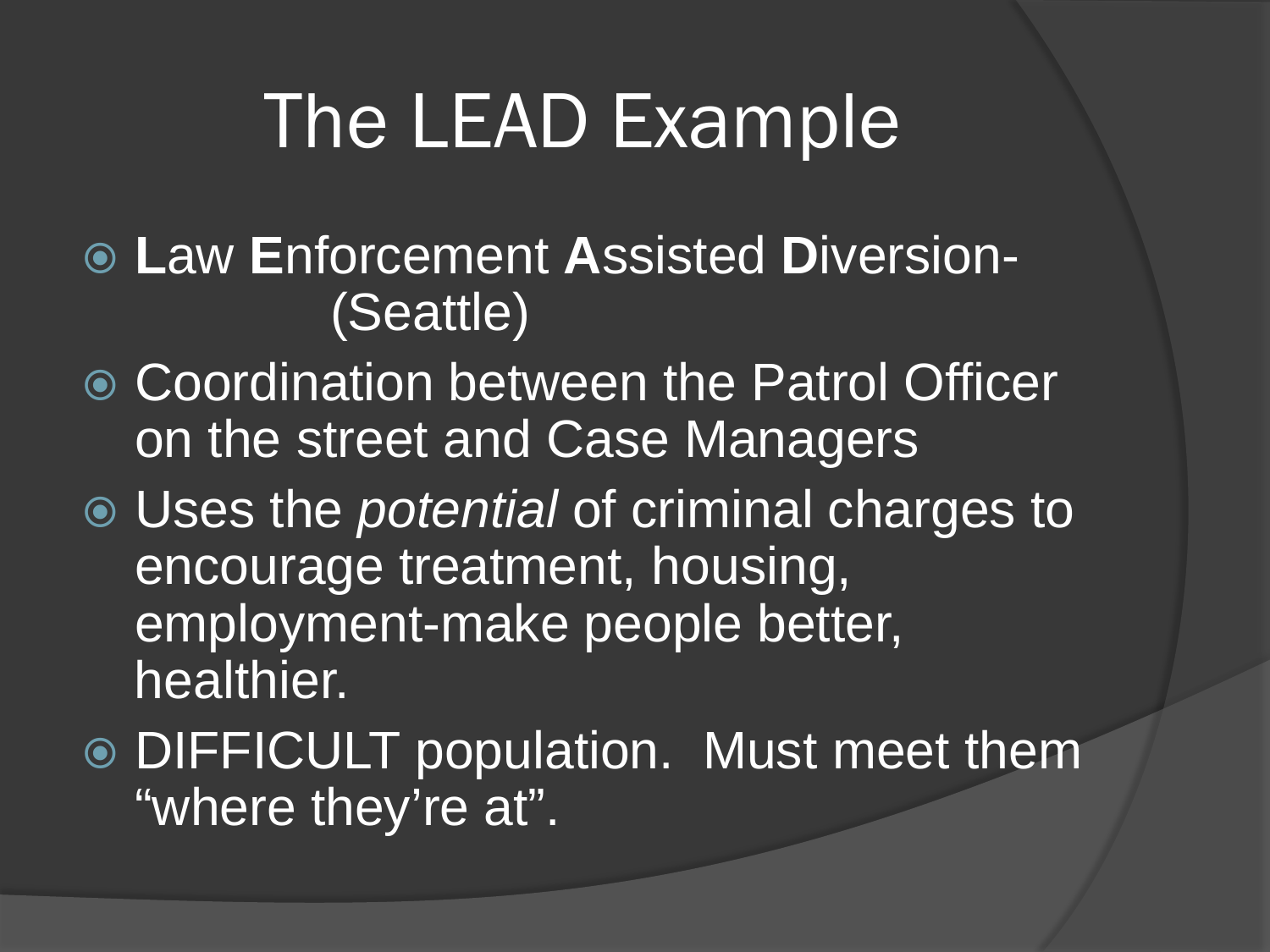# The LEAD Example

- **L**aw **E**nforcement **A**ssisted **D**iversion- (Seattle)
- Coordination between the Patrol Officer on the street and Case Managers
- Uses the *potential* of criminal charges to encourage treatment, housing, employment-make people better, healthier.
- DIFFICULT population. Must meet them "where they're at".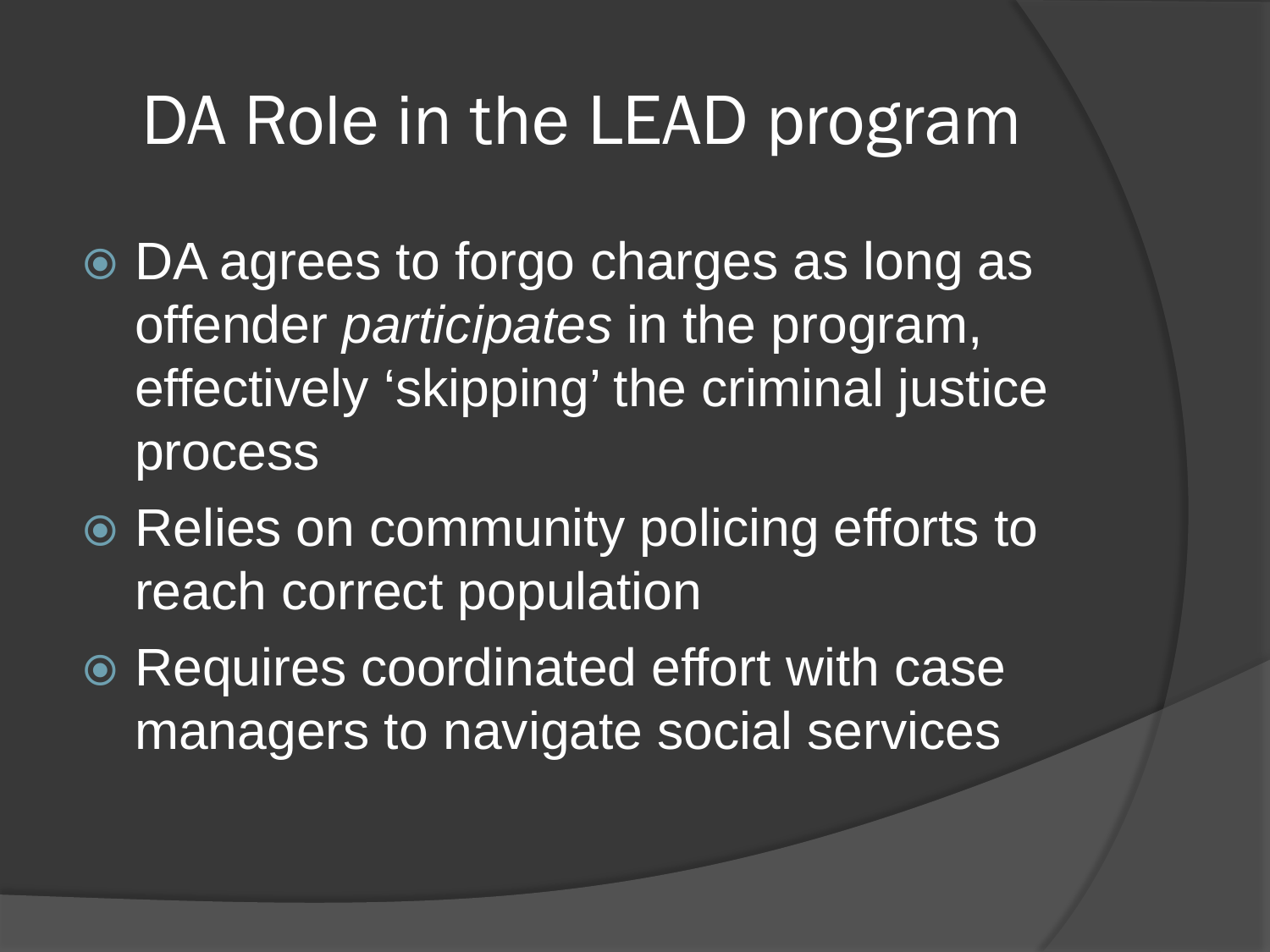### DA Role in the LEAD program

- DA agrees to forgo charges as long as offender *participates* in the program, effectively 'skipping' the criminal justice process
- **Relies on community policing efforts to** reach correct population
- Requires coordinated effort with case managers to navigate social services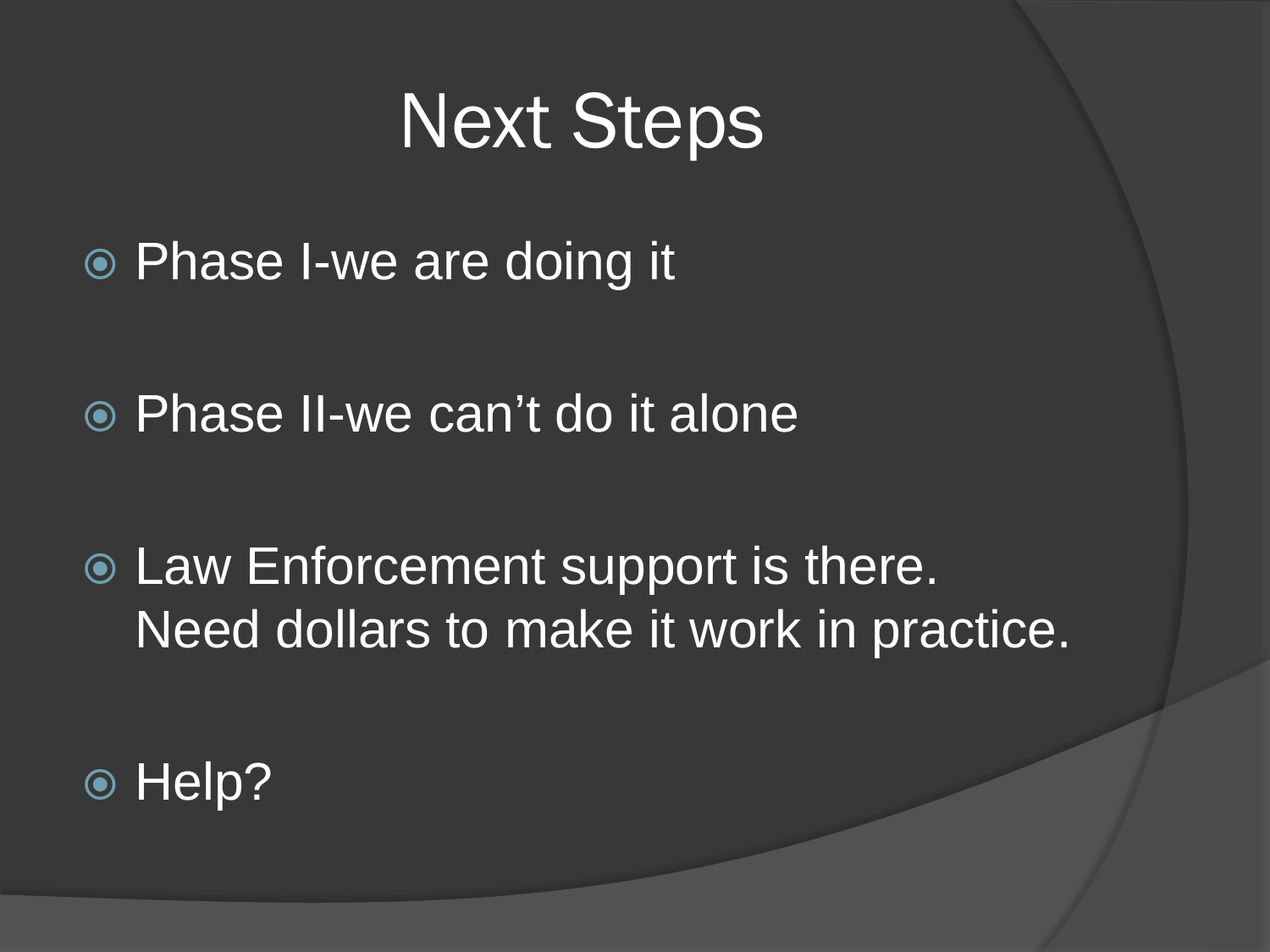## Next Steps

- Phase I-we are doing it
- Phase II-we can't do it alone
- Law Enforcement support is there. Need dollars to make it work in practice.
- Help?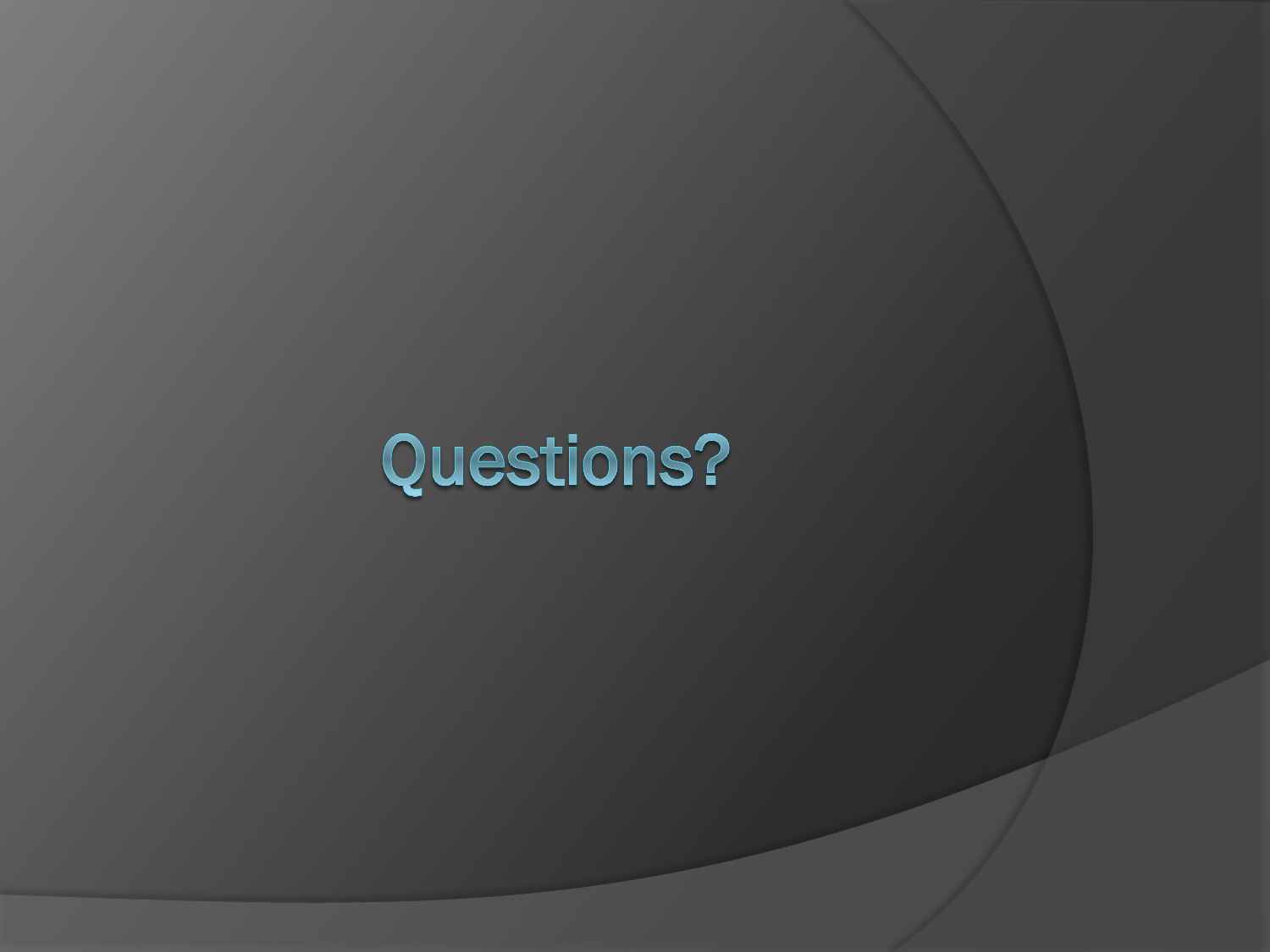